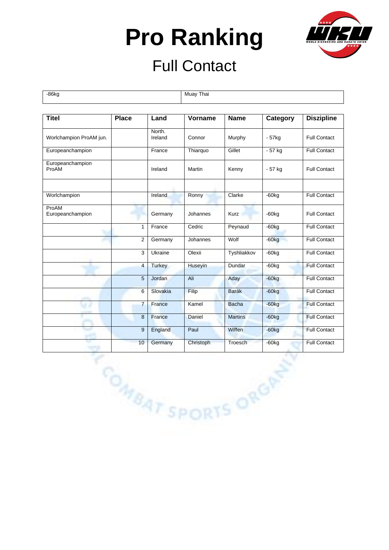

#### Full Contact

-86kg Muay Thai

| <b>Titel</b>              | <b>Place</b>   | Land              | Vorname         | <b>Name</b>    | Category            | <b>Diszipline</b>   |
|---------------------------|----------------|-------------------|-----------------|----------------|---------------------|---------------------|
| Worlchampion ProAM jun.   |                | North.<br>Ireland | Connor          | Murphy         | $-57kg$             | <b>Full Contact</b> |
| Europeanchampion          |                | France            | Thiarquo        | Gillet         | - 57 kg             | <b>Full Contact</b> |
| Europeanchampion<br>ProAM |                | Ireland           | Martin          | Kenny          | - 57 kg             | <b>Full Contact</b> |
| Worlchampion              |                | Ireland           | Ronny           | Clarke         | $-60kg$             | <b>Full Contact</b> |
| ProAM<br>Europeanchampion |                | Germany           | Johannes        | Kurz           | $-60kg$             | <b>Full Contact</b> |
|                           | $\mathbf{1}$   | France            | Cedric          | Peynaud        | $-60$ <sub>kg</sub> | <b>Full Contact</b> |
|                           | $\overline{c}$ | Germany           | Johannes        | Wolf           | $-60kg$             | <b>Full Contact</b> |
|                           | 3              | Ukraine           | Olexii          | Tyshliakkov    | $-60kg$             | <b>Full Contact</b> |
|                           | $\overline{4}$ | <b>Turkey</b>     | Huseyin         | Dundar         | $-60kg$             | <b>Full Contact</b> |
|                           | $\sqrt{5}$     | Jordan            | Ali             | Aday           | $-60kg$             | <b>Full Contact</b> |
|                           | 6              | Slovakia          | Filip           | <b>Barák</b>   | $-60kg$             | <b>Full Contact</b> |
|                           | $\overline{7}$ | France            | Kamel           | <b>Bacha</b>   | $-60kg$             | <b>Full Contact</b> |
|                           | $\bf 8$        | France            | Daniel          | <b>Martins</b> | $-60kg$             | <b>Full Contact</b> |
|                           | 9              | England           | Paul            | Wiffen         | $-60kg$             | <b>Full Contact</b> |
|                           | 10             | Germany           | Christoph       | Troesch        | $-60kg$             | <b>Full Contact</b> |
|                           |                |                   | MBAT SPORTS ORD |                |                     |                     |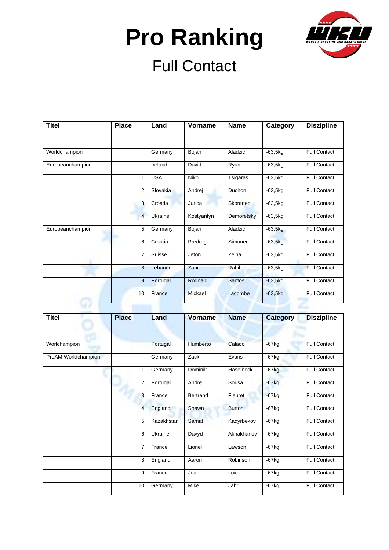

| <b>Titel</b>     | <b>Place</b>   | Land       | Vorname    | <b>Name</b>   | Category  | <b>Diszipline</b>   |
|------------------|----------------|------------|------------|---------------|-----------|---------------------|
|                  |                |            |            |               |           |                     |
| Worldchampion    |                | Germany    | Bojan      | Aladzic       | $-63,5kg$ | <b>Full Contact</b> |
| Europeanchampion |                | Ireland    | David      | Ryan          | $-63,5kg$ | <b>Full Contact</b> |
|                  |                | <b>USA</b> | Niko       | Tsigaras      | $-63,5kg$ | <b>Full Contact</b> |
|                  | 2              | Slovakia   | Andrej     | Duchon        | $-63,5kg$ | <b>Full Contact</b> |
|                  | 3              | Croatia    | Jurica     | Skoranec      | $-63,5kg$ | <b>Full Contact</b> |
|                  | $\overline{4}$ | Ukraine    | Kostyantyn | Demoretsky    | $-63,5kg$ | <b>Full Contact</b> |
| Europeanchampion | 5              | Germany    | Bojan      | Aladzic       | $-63,5kg$ | <b>Full Contact</b> |
|                  | 6              | Croatia    | Predrag    | Simunec       | $-63,5kg$ | <b>Full Contact</b> |
|                  | $\overline{7}$ | Suisse     | Jeton      | Zejna         | $-63,5kg$ | <b>Full Contact</b> |
|                  | 8              | Lebanon    | Zahr       | Rabih         | $-63,5kg$ | <b>Full Contact</b> |
|                  | 9              | Portugal   | Rodnald    | <b>Santos</b> | $-63,5kg$ | <b>Full Contact</b> |
|                  | 10             | France     | Mickael    | Lacombe       | $-63,5kg$ | <b>Full Contact</b> |

| <b>Titel</b>        | <b>Place</b>   | Land       | <b>Vorname</b> | <b>Name</b>   | <b>Category</b> | <b>Diszipline</b>   |
|---------------------|----------------|------------|----------------|---------------|-----------------|---------------------|
|                     |                |            |                |               |                 |                     |
| Worlchampion        |                | Portugal   | Humberto       | Calado        | $-67kg$         | <b>Full Contact</b> |
| ProAM Worldchampion |                | Germany    | Zack           | Evans         | $-67kg$         | <b>Full Contact</b> |
|                     | 1              | Germany    | <b>Dominik</b> | Haselbeck     | $-67kg$         | <b>Full Contact</b> |
|                     | $\overline{2}$ | Portugal   | Andre          | Sousa         | $-67kg$         | <b>Full Contact</b> |
|                     | 3              | France     | Bertrand       | Fleuret       | $-67$ kg        | <b>Full Contact</b> |
|                     | $\overline{4}$ | England    | Shawn          | <b>Burton</b> | $-67$ kg        | <b>Full Contact</b> |
|                     | 5              | Kazakhstan | Samat          | Kadyrbekov    | $-67$ kg        | <b>Full Contact</b> |
|                     | 6              | Ukraine    | Davyd          | Akhakhanov    | $-67$ kg        | Full Contact        |
|                     | 7              | France     | Lionel         | Lawson        | $-67kg$         | <b>Full Contact</b> |
|                     | 8              | England    | Aaron          | Robinson      | $-67$ kg        | <b>Full Contact</b> |
|                     | 9              | France     | Jean           | Loic          | $-67kg$         | Full Contact        |
|                     | 10             | Germany    | Mike           | Jahr          | $-67kg$         | <b>Full Contact</b> |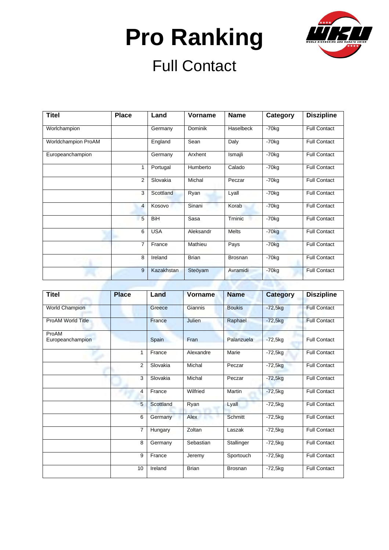

| <b>Titel</b>        | <b>Place</b>   | Land              | Vorname      | <b>Name</b>  | Category            | <b>Diszipline</b>   |
|---------------------|----------------|-------------------|--------------|--------------|---------------------|---------------------|
| Worlchampion        |                | Germany           | Dominik      | Haselbeck    | $-70$ <sub>kg</sub> | <b>Full Contact</b> |
| Worldchampion ProAM |                | England           | Sean         | Daly         | $-70$ kg            | <b>Full Contact</b> |
| Europeanchampion    |                | Germany           | Arxhent      | Ismaili      | $-70$ kg            | <b>Full Contact</b> |
|                     | 1              | Portugal          | Humberto     | Calado       | $-70$ kg            | <b>Full Contact</b> |
|                     | 2              | Slovakia          | Michal       | Peczar       | $-70$ kg            | <b>Full Contact</b> |
|                     | 3              | Scottland         | Ryan         | Lyall        | $-70$ <sub>kg</sub> | <b>Full Contact</b> |
|                     | $\overline{4}$ | Kosovo            | Sinani       | Korab        | $-70$ <sub>kg</sub> | <b>Full Contact</b> |
|                     | 5              | <b>BiH</b>        | Sasa         | Trninic      | $-70kq$             | <b>Full Contact</b> |
|                     | 6              | <b>USA</b>        | Aleksandr    | <b>Melts</b> | $-70kg$             | <b>Full Contact</b> |
|                     | $\overline{7}$ | France            | Mathieu      | Pays         | $-70kg$             | <b>Full Contact</b> |
|                     | 8              | Ireland           | <b>Brian</b> | Brosnan      | $-70$ <sub>kg</sub> | <b>Full Contact</b> |
|                     | 9              | <b>Kazakhstan</b> | Steöyam      | Avramidi     | $-70kg$             | <b>Full Contact</b> |

| <b>Titel</b>              | <b>Place</b>   | Land      | <b>Vorname</b> | <b>Name</b>   | <b>Category</b> | <b>Diszipline</b>   |
|---------------------------|----------------|-----------|----------------|---------------|-----------------|---------------------|
| <b>World Champion</b>     |                | Greece    | Giannis        | <b>Boukis</b> | $-72,5kg$       | <b>Full Contact</b> |
| ProAM World Title         |                | France    | <b>Julien</b>  | Raphael       | $-72,5kg$       | <b>Full Contact</b> |
| ProAM<br>Europeanchampion |                | Spain     | Fran           | Palanzuela    | $-72,5kg$       | <b>Full Contact</b> |
|                           | 1              | France    | Alexandre      | Marie         | $-72,5kg$       | <b>Full Contact</b> |
|                           | $\overline{2}$ | Slovakia  | Michal         | Peczar        | $-72,5kg$       | <b>Full Contact</b> |
|                           | 3              | Slovakia  | Michal         | Peczar        | $-72,5kg$       | <b>Full Contact</b> |
|                           | 4              | France    | Wilfried       | Martin        | $-72,5kg$       | <b>Full Contact</b> |
|                           | 5              | Scottland | Ryan           | Lyall         | $-72,5kg$       | <b>Full Contact</b> |
|                           | 6              | Germany   | Alex           | Schmitt       | $-72,5kg$       | <b>Full Contact</b> |
|                           | $\overline{7}$ | Hungary   | Zoltan         | Laszak        | $-72,5kg$       | Full Contact        |
|                           | 8              | Germany   | Sebastian      | Stallinger    | $-72,5kg$       | <b>Full Contact</b> |
|                           | 9              | France    | Jeremy         | Sportouch     | $-72,5kg$       | <b>Full Contact</b> |
|                           | 10             | Ireland   | <b>Brian</b>   | Brosnan       | $-72,5kg$       | <b>Full Contact</b> |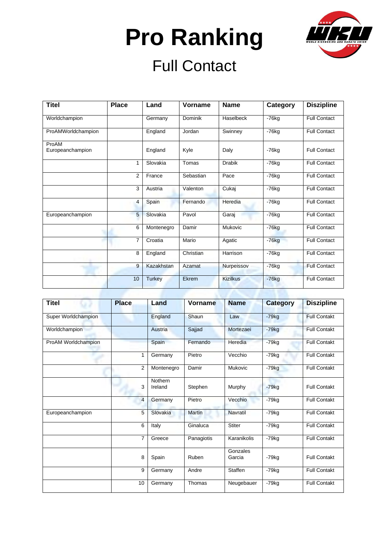

| <b>Titel</b>              | <b>Place</b>   | Land          | <b>Vorname</b> | <b>Name</b>     | Category | <b>Diszipline</b>   |
|---------------------------|----------------|---------------|----------------|-----------------|----------|---------------------|
| Worldchampion             |                | Germany       | Dominik        | Haselbeck       | $-76$ kg | <b>Full Contact</b> |
| ProAMWorldchampion        |                | England       | Jordan         | Swinney         | $-76$ kg | <b>Full Contact</b> |
| ProAM<br>Europeanchampion |                | England       | Kyle           | Daly            | $-76$ kg | <b>Full Contact</b> |
|                           | 1              | Slovakia      | Tomas          | <b>Drabik</b>   | $-76$ kg | <b>Full Contact</b> |
|                           | 2              | France        | Sebastian      | Pace            | $-76$ kg | <b>Full Contact</b> |
|                           | 3              | Austria       | Valenton       | Cukaj           | $-76$ kg | <b>Full Contact</b> |
|                           | 4              | Spain         | Fernando       | Heredia         | $-76$ kg | <b>Full Contact</b> |
| Europeanchampion          | 5              | Slovakia      | Pavol          | Garaj           | $-76$ kg | <b>Full Contact</b> |
|                           | 6              | Montenegro    | Damir          | <b>Mukovic</b>  | $-76$ kg | <b>Full Contact</b> |
|                           | $\overline{7}$ | Croatia       | Mario          | Agatic          | $-76kg$  | <b>Full Contact</b> |
|                           | 8              | England       | Christian      | Harrison        | $-76$ kg | <b>Full Contact</b> |
|                           | 9              | Kazakhstan    | Azamat         | Nurpeissov      | $-76$ kg | <b>Full Contact</b> |
|                           | 10             | <b>Turkey</b> | Ekrem          | <b>Kizilkus</b> | $-76kg$  | <b>Full Contact</b> |

| <b>Titel</b>        | <b>Place</b>   | Land               | Vorname       | <b>Name</b>        | <b>Category</b> | <b>Diszipline</b>   |
|---------------------|----------------|--------------------|---------------|--------------------|-----------------|---------------------|
| Super Worldchampion |                | England            | Shaun         | Law                | $-79kg$         | <b>Full Contakt</b> |
| Worldchampion       |                | Austria            | Sajjad        | Mortezaei          | $-79kg$         | <b>Full Contakt</b> |
| ProAM Worldchampion |                | Spain              | Fernando      | Heredia            | $-79kg$         | <b>Full Contakt</b> |
|                     | 1              | Germany            | Pietro        | Vecchio            | -79kg           | <b>Full Contakt</b> |
|                     | $\overline{2}$ | Montenegro         | Damir         | Mukovic            | $-79kg$         | <b>Full Contakt</b> |
|                     | 3              | Nothern<br>Ireland | Stephen       | Murphy             | $-79kq$         | <b>Full Contakt</b> |
|                     | $\overline{4}$ | Germany            | Pietro        | Vecchio            | $-79kg$         | <b>Full Contakt</b> |
| Europeanchampion    | 5              | Slovakia           | <b>Martin</b> | Navratil           | $-79$ kg        | <b>Full Contakt</b> |
|                     | 6              | Italy              | Ginaluca      | Stiter             | $-79kg$         | <b>Full Contakt</b> |
|                     | $\overline{7}$ | Greece             | Panagiotis    | Karanikolis        | $-79kg$         | <b>Full Contakt</b> |
|                     | 8              | Spain              | Ruben         | Gonzales<br>Garcia | $-79kq$         | <b>Full Contakt</b> |
|                     | 9              | Germany            | Andre         | Staffen            | $-79kg$         | <b>Full Contakt</b> |
|                     | 10             | Germany            | Thomas        | Neugebauer         | $-79kg$         | <b>Full Contakt</b> |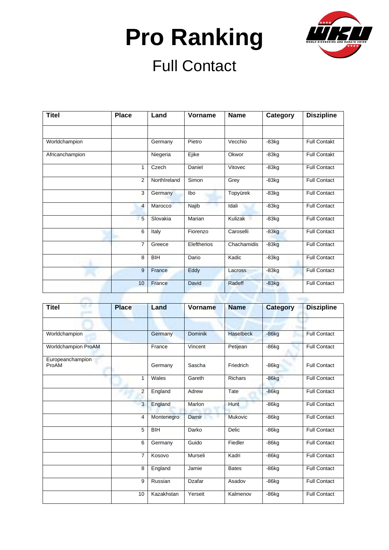

| <b>Titel</b>    | <b>Place</b>   | Land         | Vorname     | <b>Name</b>    | Category | <b>Diszipline</b>   |
|-----------------|----------------|--------------|-------------|----------------|----------|---------------------|
|                 |                |              |             |                |          |                     |
| Worldchampion   |                | Germany      | Pietro      | Vecchio        | $-83kg$  | <b>Full Contakt</b> |
| Africanchampion |                | Niegeria     | Ejike       | Okwor          | $-83kg$  | <b>Full Contakt</b> |
|                 | 1              | Czech        | Daniel      | Vitovec        | $-83kg$  | Full Contact        |
|                 | $\overline{2}$ | NorthIreland | Simon       | Grey           | $-83kg$  | <b>Full Contact</b> |
|                 | 3              | Germany      | lbo         | Topyürek       | $-83kg$  | <b>Full Contact</b> |
|                 | $\overline{4}$ | Marocco      | Najib       | Idali          | $-83kg$  | <b>Full Contact</b> |
|                 | 5              | Slovakia     | Marian      | <b>Kulizak</b> | $-83kg$  | Full Contact        |
|                 | 6              | Italy        | Fiorenzo    | Caroselli      | $-83kg$  | <b>Full Contact</b> |
|                 | $\overline{7}$ | Greece       | Eleftherios | Chachamidis    | $-83kg$  | <b>Full Contact</b> |
|                 | 8              | <b>BIH</b>   | Dario       | Kadic          | $-83kg$  | <b>Full Contact</b> |
|                 | 9              | France       | Eddy        | Lacross        | $-83kg$  | <b>Full Contact</b> |
|                 | 10             | France       | David       | Radeff         | $-83kg$  | <b>Full Contact</b> |

| <b>Titel</b>              | <b>Place</b>   | Land       | Vorname        | <b>Name</b>      | <b>Category</b> | <b>Diszipline</b>   |
|---------------------------|----------------|------------|----------------|------------------|-----------------|---------------------|
|                           |                |            |                |                  |                 |                     |
| Worldchampion             |                | Germany    | <b>Dominik</b> | <b>Haselbeck</b> | $-86kg$         | <b>Full Contact</b> |
| Worldchampion ProAM       |                | France     | Vincent        | Petijean         | $-86kg$         | <b>Full Contact</b> |
| Europeanchampion<br>ProAM |                | Germany    | Sascha         | Friedrich        | $-86kg$         | <b>Full Contact</b> |
|                           | 1              | Wales      | Gareth         | <b>Richars</b>   | $-86kg$         | <b>Full Contact</b> |
|                           | 2              | England    | Adrew          | Tate             | $-86kg$         | <b>Full Contact</b> |
|                           | 3              | England    | Marlon         | Hunt             | $-86kg$         | <b>Full Contact</b> |
|                           | $\overline{4}$ | Montenegro | Damir          | <b>Mukovic</b>   | $-86kg$         | <b>Full Contact</b> |
|                           | 5              | <b>BIH</b> | Darko          | Delic            | $-86kg$         | <b>Full Contact</b> |
|                           | 6              | Germany    | Guido          | Fiedler          | $-86$ kg        | <b>Full Contact</b> |
|                           | $\overline{7}$ | Kosovo     | Murseli        | Kadri            | $-86$ kg        | <b>Full Contact</b> |
|                           | 8              | England    | Jamie          | <b>Bates</b>     | $-86$ kg        | <b>Full Contact</b> |
|                           | 9              | Russian    | Dzafar         | Asadov           | $-86$ kg        | <b>Full Contact</b> |
|                           | 10             | Kazakhstan | Yerseit        | Kalmenov         | $-86kg$         | <b>Full Contact</b> |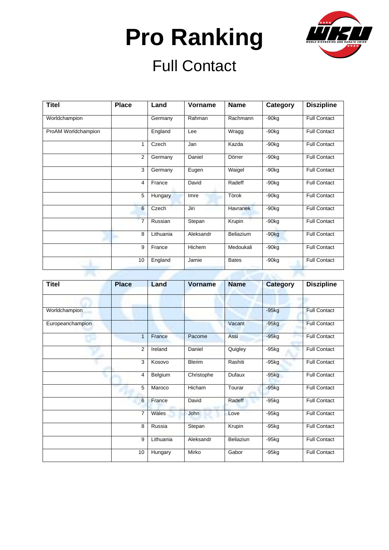

| <b>Titel</b>        | <b>Place</b> | Land      | Vorname   | <b>Name</b>      | Category            | <b>Diszipline</b>   |
|---------------------|--------------|-----------|-----------|------------------|---------------------|---------------------|
| Worldchampion       |              | Germany   | Rahman    | Rachmann         | $-90kq$             | <b>Full Contact</b> |
| ProAM Worldchampion |              | England   | Lee       | Wragg            | $-90kq$             | <b>Full Contact</b> |
|                     | 1            | Czech     | Jan       | Kazda            | $-90kg$             | <b>Full Contact</b> |
|                     | 2            | Germany   | Daniel    | Dörrer           | $-90$ <sub>kg</sub> | <b>Full Contact</b> |
|                     | 3            | Germany   | Eugen     | Waigel           | $-90$ <sub>kg</sub> | <b>Full Contact</b> |
|                     | 4            | France    | David     | Radeff           | $-90kq$             | <b>Full Contact</b> |
|                     | 5            | Hungary   | Imre      | Törok            | $-90$ kg            | <b>Full Contact</b> |
|                     | 6            | Czech     | Jiri      | <b>Havranek</b>  | $-90$ <sub>kg</sub> | <b>Full Contact</b> |
|                     | 7            | Russian   | Stepan    | Krupin           | $-90$ <sub>kg</sub> | <b>Full Contact</b> |
|                     | 8            | Lithuania | Aleksandr | <b>Beliazium</b> | $-90kg$             | <b>Full Contact</b> |
|                     | 9            | France    | Hichem    | Medoukali        | $-90kq$             | <b>Full Contact</b> |
|                     | 10           | England   | Jamie     | <b>Bates</b>     | $-90$ <sub>kg</sub> | <b>Full Contact</b> |

| <b>Titel</b>     | <b>Place</b>   | Land      | <b>Vorname</b> | <b>Name</b> | <b>Category</b> | <b>Diszipline</b>   |
|------------------|----------------|-----------|----------------|-------------|-----------------|---------------------|
|                  |                |           |                |             | ۰               |                     |
| Worldchampion    |                |           |                |             | $-95kg$         | <b>Full Contact</b> |
| Europeanchampion |                |           |                | Vacant      | $-95kg$         | <b>Full Contact</b> |
|                  | 1              | France    | Pacome         | Assi        | $-95kg$         | <b>Full Contact</b> |
|                  | $\overline{2}$ | Ireland   | Daniel         | Quigley     | $-95kg$         | <b>Full Contact</b> |
|                  | 3              | Kosovo    | <b>Blerim</b>  | Rashiti     | $-95kg$         | <b>Full Contact</b> |
|                  | 4              | Belgium   | Christophe     | Dufaux      | $-95kg$         | <b>Full Contact</b> |
|                  | 5              | Maroco    | Hicham         | Tourar      | $-95kg$         | <b>Full Contact</b> |
|                  | 6              | France    | David          | Radeff      | $-95kg$         | <b>Full Contact</b> |
|                  | $\overline{7}$ | Wales     | John           | Love        | $-95kg$         | <b>Full Contact</b> |
|                  | 8              | Russia    | Stepan         | Krupin      | $-95kg$         | <b>Full Contact</b> |
|                  | 9              | Lithuania | Aleksandr      | Beliaziun   | $-95kg$         | <b>Full Contact</b> |
|                  | 10             | Hungary   | Mirko          | Gabor       | $-95$ kg        | <b>Full Contact</b> |